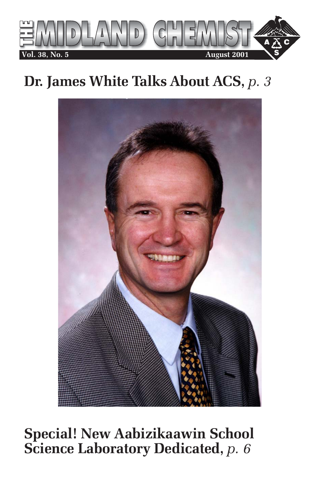

# **Dr. James White Talks About ACS,** *p. 3*



# **Special! New Aabizikaawin School Science Laboratory Dedicated,** *p. 6*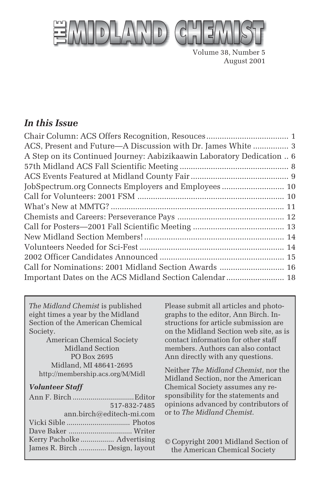

Volume 38, Number 5 August 2001

### *In this Issue*

| ACS, Present and Future—A Discussion with Dr. James White  3           |
|------------------------------------------------------------------------|
| A Step on its Continued Journey: Aabizikaawin Laboratory Dedication  6 |
|                                                                        |
|                                                                        |
| JobSpectrum.org Connects Employers and Employees 10                    |
|                                                                        |
|                                                                        |
|                                                                        |
|                                                                        |
|                                                                        |
|                                                                        |
|                                                                        |
| Call for Nominations: 2001 Midland Section Awards  16                  |
| Important Dates on the ACS Midland Section Calendar  18                |

*The Midland Chemist* is published eight times a year by the Midland Section of the American Chemical Society.

American Chemical Society Midland Section PO Box 2695 Midland, MI 48641-2695 http://membership.acs.org/M/Midl

#### *Volunteer Staff*

| 517-832-7485                   |
|--------------------------------|
| ann.birch@editech-mi.com       |
|                                |
|                                |
|                                |
| James R. Birch  Design, layout |
|                                |

Please submit all articles and photographs to the editor, Ann Birch. Instructions for article submission are on the Midland Section web site, as is contact information for other staff members. Authors can also contact Ann directly with any questions.

Neither *The Midland Chemist*, nor the Midland Section, nor the American Chemical Society assumes any responsibility for the statements and opinions advanced by contributors of or to *The Midland Chemist*.

© Copyright 2001 Midland Section of the American Chemical Society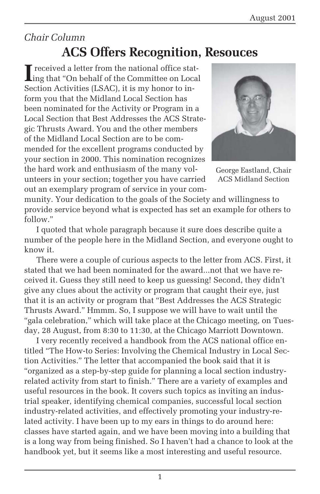### *Chair Column* **ACS Offers Recognition, Resouces**

Interpreted a letter from the national office stat-<br>
ing that "On behalf of the Committee on Local"<br>
Committee on Local Ling that "On behalf of the Committee on Local Section Activities (LSAC), it is my honor to inform you that the Midland Local Section has been nominated for the Activity or Program in a Local Section that Best Addresses the ACS Strategic Thrusts Award. You and the other members of the Midland Local Section are to be commended for the excellent programs conducted by your section in 2000. This nomination recognizes the hard work and enthusiasm of the many volunteers in your section; together you have carried out an exemplary program of service in your com-



George Eastland, Chair ACS Midland Section

munity. Your dedication to the goals of the Society and willingness to provide service beyond what is expected has set an example for others to follow."

I quoted that whole paragraph because it sure does describe quite a number of the people here in the Midland Section, and everyone ought to know it.

There were a couple of curious aspects to the letter from ACS. First, it stated that we had been nominated for the award...not that we have received it. Guess they still need to keep us guessing! Second, they didn't give any clues about the activity or program that caught their eye, just that it is an activity or program that "Best Addresses the ACS Strategic Thrusts Award." Hmmm. So, I suppose we will have to wait until the "gala celebration," which will take place at the Chicago meeting, on Tuesday, 28 August, from 8:30 to 11:30, at the Chicago Marriott Downtown.

I very recently received a handbook from the ACS national office entitled "The How-to Series: Involving the Chemical Industry in Local Section Activities." The letter that accompanied the book said that it is "organized as a step-by-step guide for planning a local section industryrelated activity from start to finish." There are a variety of examples and useful resources in the book. It covers such topics as inviting an industrial speaker, identifying chemical companies, successful local section industry-related activities, and effectively promoting your industry-related activity. I have been up to my ears in things to do around here: classes have started again, and we have been moving into a building that is a long way from being finished. So I haven't had a chance to look at the handbook yet, but it seems like a most interesting and useful resource.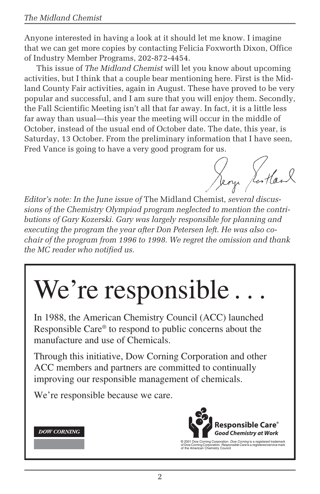Anyone interested in having a look at it should let me know. I imagine that we can get more copies by contacting Felicia Foxworth Dixon, Office of Industry Member Programs, 202-872-4454.

This issue of *The Midland Chemist* will let you know about upcoming activities, but I think that a couple bear mentioning here. First is the Midland County Fair activities, again in August. These have proved to be very popular and successful, and I am sure that you will enjoy them. Secondly, the Fall Scientific Meeting isn't all that far away. In fact, it is a little less far away than usual—this year the meeting will occur in the middle of October, instead of the usual end of October date. The date, this year, is Saturday, 13 October. From the preliminary information that I have seen, Fred Vance is going to have a very good program for us.

Jeon Scotland

*Editor's note: In the June issue of* The Midland Chemist*, several discussions of the Chemistry Olympiad program neglected to mention the contributions of Gary Kozerski. Gary was largely responsible for planning and executing the program the year after Don Petersen left. He was also cochair of the program from 1996 to 1998. We regret the omission and thank the MC reader who notified us.*

# We're responsible.

In 1988, the American Chemistry Council (ACC) launched Responsible Care® to respond to public concerns about the manufacture and use of Chemicals.

Through this initiative, Dow Corning Corporation and other ACC members and partners are committed to continually improving our responsible management of chemicals.

We're responsible because we care.





© 2001 Dow Corning Corporation. *Dow Corning* is a registered trademark<br>of Dow Corning Corporation. *Responsible Care* is a registered service mark<br>of the American Chemistry Council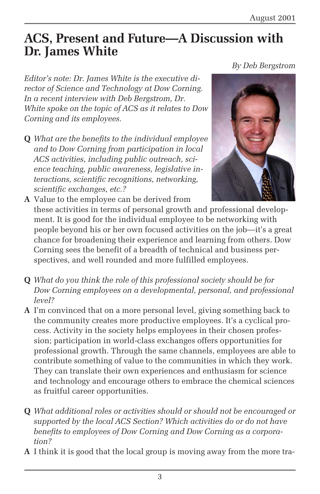*By Deb Bergstrom*

### **ACS, Present and Future—A Discussion with Dr. James White**

*Editor's note: Dr. James White is the executive director of Science and Technology at Dow Corning. In a recent interview with Deb Bergstrom, Dr. White spoke on the topic of ACS as it relates to Dow Corning and its employees.*

**Q** *What are the benefits to the individual employee and to Dow Corning from participation in local ACS activities, including public outreach, science teaching, public awareness, legislative interactions, scientific recognitions, networking, scientific exchanges, etc.?*



**A** Value to the employee can be derived from these activities in terms of personal growth and professional development. It is good for the individual employee to be networking with people beyond his or her own focused activities on the job—it's a great chance for broadening their experience and learning from others. Dow Corning sees the benefit of a breadth of technical and business perspectives, and well rounded and more fulfilled employees.

- **Q** *What do you think the role of this professional society should be for Dow Corning employees on a developmental, personal, and professional level?*
- **A** I'm convinced that on a more personal level, giving something back to the community creates more productive employees. It's a cyclical process. Activity in the society helps employees in their chosen profession; participation in world-class exchanges offers opportunities for professional growth. Through the same channels, employees are able to contribute something of value to the communities in which they work. They can translate their own experiences and enthusiasm for science and technology and encourage others to embrace the chemical sciences as fruitful career opportunities.
- **Q** *What additional roles or activities should or should not be encouraged or supported by the local ACS Section? Which activities do or do not have benefits to employees of Dow Corning and Dow Corning as a corporation?*
- **A** I think it is good that the local group is moving away from the more tra-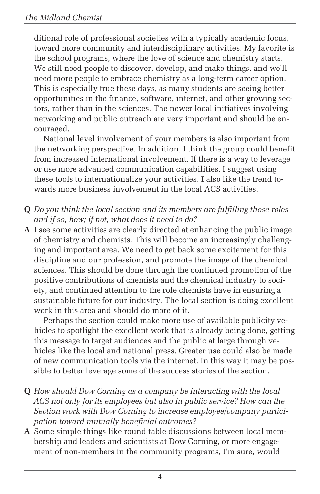ditional role of professional societies with a typically academic focus, toward more community and interdisciplinary activities. My favorite is the school programs, where the love of science and chemistry starts. We still need people to discover, develop, and make things, and we'll need more people to embrace chemistry as a long-term career option. This is especially true these days, as many students are seeing better opportunities in the finance, software, internet, and other growing sectors, rather than in the sciences. The newer local initiatives involving networking and public outreach are very important and should be encouraged.

National level involvement of your members is also important from the networking perspective. In addition, I think the group could benefit from increased international involvement. If there is a way to leverage or use more advanced communication capabilities, I suggest using these tools to internationalize your activities. I also like the trend towards more business involvement in the local ACS activities.

- **Q** *Do you think the local section and its members are fulfilling those roles and if so, how; if not, what does it need to do?*
- **A** I see some activities are clearly directed at enhancing the public image of chemistry and chemists. This will become an increasingly challenging and important area. We need to get back some excitement for this discipline and our profession, and promote the image of the chemical sciences. This should be done through the continued promotion of the positive contributions of chemists and the chemical industry to society, and continued attention to the role chemists have in ensuring a sustainable future for our industry. The local section is doing excellent work in this area and should do more of it.

Perhaps the section could make more use of available publicity vehicles to spotlight the excellent work that is already being done, getting this message to target audiences and the public at large through vehicles like the local and national press. Greater use could also be made of new communication tools via the internet. In this way it may be possible to better leverage some of the success stories of the section.

- **Q** *How should Dow Corning as a company be interacting with the local ACS not only for its employees but also in public service? How can the Section work with Dow Corning to increase employee/company participation toward mutually beneficial outcomes?*
- **A** Some simple things like round table discussions between local membership and leaders and scientists at Dow Corning, or more engagement of non-members in the community programs, I'm sure, would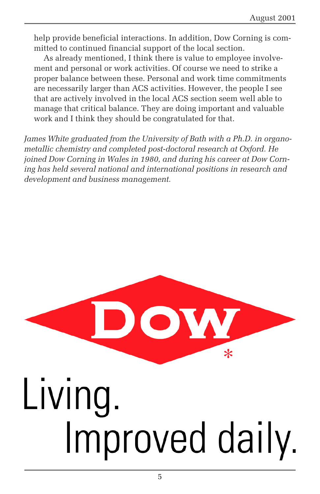help provide beneficial interactions. In addition, Dow Corning is committed to continued financial support of the local section.

As already mentioned, I think there is value to employee involvement and personal or work activities. Of course we need to strike a proper balance between these. Personal and work time commitments are necessarily larger than ACS activities. However, the people I see that are actively involved in the local ACS section seem well able to manage that critical balance. They are doing important and valuable work and I think they should be congratulated for that.

*James White graduated from the University of Bath with a Ph.D. in organometallic chemistry and completed post-doctoral research at Oxford. He joined Dow Corning in Wales in 1980, and during his career at Dow Corning has held several national and international positions in research and development and business management.*

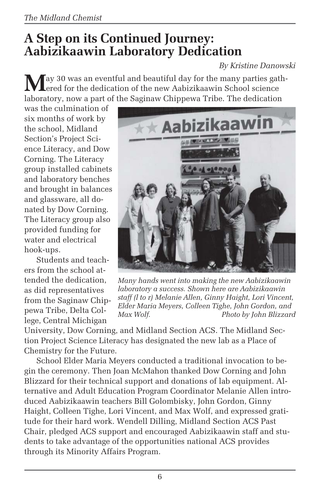### **A Step on its Continued Journey: Aabizikaawin Laboratory Dedication**

#### *By Kristine Danowski*

**M**ay 30 was an eventful and beautiful day for the many parties gathered for the dedication of the new Aabizikaawin School science laboratory, now a part of the Saginaw Chippewa Tribe. The dedication

was the culmination of six months of work by the school, Midland Section's Project Science Literacy, and Dow Corning. The Literacy group installed cabinets and laboratory benches and brought in balances and glassware, all donated by Dow Corning. The Literacy group also provided funding for water and electrical hook-ups.

Students and teachers from the school attended the dedication, as did representatives from the Saginaw Chippewa Tribe, Delta College, Central Michigan



*Many hands went into making the new Aabizikaawin laboratory a success. Shown here are Aabizikaawin staff (l to r) Melanie Allen, Ginny Haight, Lori Vincent, Elder Maria Meyers, Colleen Tighe, John Gordon, and Max Wolf. Photo by John Blizzard*

University, Dow Corning, and Midland Section ACS. The Midland Section Project Science Literacy has designated the new lab as a Place of Chemistry for the Future.

School Elder Maria Meyers conducted a traditional invocation to begin the ceremony. Then Joan McMahon thanked Dow Corning and John Blizzard for their technical support and donations of lab equipment. Alternative and Adult Education Program Coordinator Melanie Allen introduced Aabizikaawin teachers Bill Golombisky, John Gordon, Ginny Haight, Colleen Tighe, Lori Vincent, and Max Wolf, and expressed gratitude for their hard work. Wendell Dilling, Midland Section ACS Past Chair, pledged ACS support and encouraged Aabizikaawin staff and students to take advantage of the opportunities national ACS provides through its Minority Affairs Program.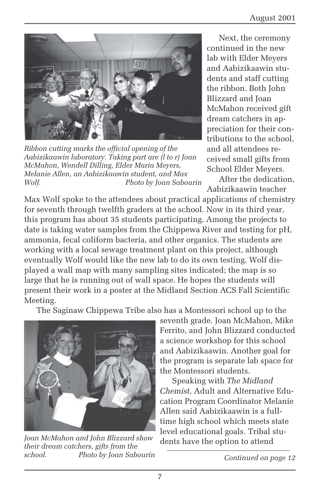

*Ribbon cutting marks the official opening of the Aabizikaawin laboratory. Taking part are (l to r) Joan McMahon, Wendell Dilling, Elder Maria Meyers, Melanie Allen, an Aabizikaawin student, and Max Wolf. Photo by Joan Sabourin*

Next, the ceremony continued in the new lab with Elder Meyers and Aabizikaawin students and staff cutting the ribbon. Both John Blizzard and Joan McMahon received gift dream catchers in appreciation for their contributions to the school, and all attendees received small gifts from School Elder Meyers.

After the dedication, Aabizikaawin teacher

Max Wolf spoke to the attendees about practical applications of chemistry for seventh through twelfth graders at the school. Now in its third year, this program has about 35 students participating. Among the projects to date is taking water samples from the Chippewa River and testing for pH, ammonia, fecal coliform bacteria, and other organics. The students are working with a local sewage treatment plant on this project, although eventually Wolf would like the new lab to do its own testing. Wolf displayed a wall map with many sampling sites indicated; the map is so large that he is running out of wall space. He hopes the students will present their work in a poster at the Midland Section ACS Fall Scientific Meeting.

The Saginaw Chippewa Tribe also has a Montessori school up to the



dents have the option to attend *Joan McMahon and John Blizzard show their dream catchers, gifts from the school. Photo by Joan Sabourin*

seventh grade. Joan McMahon, Mike Ferrito, and John Blizzard conducted a science workshop for this school and Aabizikaawin. Another goal for the program is separate lab space for the Montessori students.

Speaking with *The Midland Chemist*, Adult and Alternative Education Program Coordinator Melanie Allen said Aabizikaawin is a fulltime high school which meets state level educational goals. Tribal stu-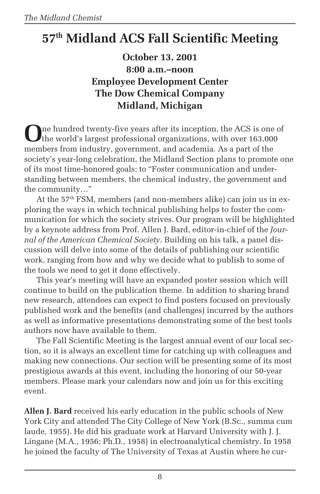# **57th Midland ACS Fall Scientific Meeting**

### **October 13, 2001 8:00 a.m.–noon Employee Development Center The Dow Chemical Company Midland, Michigan**

**O**ne hundred twenty-five years after its inception, the ACS is one of the world's largest professional organizations, with over 163,000 members from industry, government, and academia. As a part of the society's year-long celebration, the Midland Section plans to promote one of its most time-honored goals: to "Foster communication and understanding between members, the chemical industry, the government and the community…"

At the  $57<sup>th</sup>$  FSM, members (and non-members alike) can join us in exploring the ways in which technical publishing helps to foster the communication for which the society strives. Our program will be highlighted by a keynote address from Prof. Allen J. Bard, editor-in-chief of the *Journal of the American Chemical Society*. Building on his talk, a panel discussion will delve into some of the details of publishing our scientific work, ranging from how and why we decide what to publish to some of the tools we need to get it done effectively.

This year's meeting will have an expanded poster session which will continue to build on the publication theme. In addition to sharing brand new research, attendees can expect to find posters focused on previously published work and the benefits (and challenges) incurred by the authors as well as informative presentations demonstrating some of the best tools authors now have available to them.

The Fall Scientific Meeting is the largest annual event of our local section, so it is always an excellent time for catching up with colleagues and making new connections. Our section will be presenting some of its most prestigious awards at this event, including the honoring of our 50-year members. Please mark your calendars now and join us for this exciting event.

**Allen J. Bard** received his early education in the public schools of New York City and attended The City College of New York (B.Sc., summa cum laude, 1955). He did his graduate work at Harvard University with J. J. Lingane (M.A., 1956; Ph.D., 1958) in electroanalytical chemistry. In 1958 he joined the faculty of The University of Texas at Austin where he cur-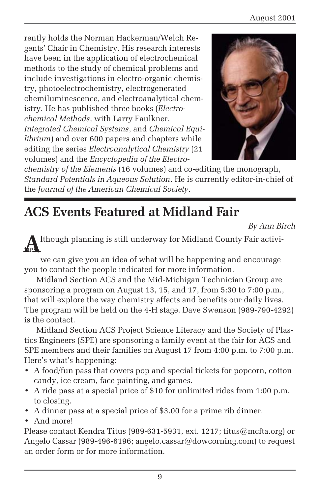rently holds the Norman Hackerman/Welch Regents' Chair in Chemistry. His research interests have been in the application of electrochemical methods to the study of chemical problems and include investigations in electro-organic chemistry, photoelectrochemistry, electrogenerated chemiluminescence, and electroanalytical chemistry. He has published three books (*Electrochemical Methods*, with Larry Faulkner, *Integrated Chemical Systems*, and *Chemical Equilibrium*) and over 600 papers and chapters while editing the series *Electroanalytical Chemistry* (21 volumes) and the *Encyclopedia of the Electro-*



*chemistry of the Elements* (16 volumes) and co-editing the monograph, *Standard Potentials in Aqueous Solution*. He is currently editor-in-chief of the *Journal of the American Chemical Society*.

## **ACS Events Featured at Midland Fair**

*By Ann Birch*

**A**lthough planning is still underway for Midland County Fair activities,

we can give you an idea of what will be happening and encourage you to contact the people indicated for more information.

Midland Section ACS and the Mid-Michigan Technician Group are sponsoring a program on August 13, 15, and 17, from 5:30 to 7:00 p.m., that will explore the way chemistry affects and benefits our daily lives. The program will be held on the 4-H stage. Dave Swenson (989-790-4292) is the contact.

Midland Section ACS Project Science Literacy and the Society of Plastics Engineers (SPE) are sponsoring a family event at the fair for ACS and SPE members and their families on August 17 from 4:00 p.m. to 7:00 p.m. Here's what's happening:

- A food/fun pass that covers pop and special tickets for popcorn, cotton candy, ice cream, face painting, and games.
- A ride pass at a special price of \$10 for unlimited rides from 1:00 p.m. to closing.
- A dinner pass at a special price of \$3.00 for a prime rib dinner.
- And more!

Please contact Kendra Titus (989-631-5931, ext. 1217; titus@mcfta.org) or Angelo Cassar (989-496-6196; angelo.cassar@dowcorning.com) to request an order form or for more information.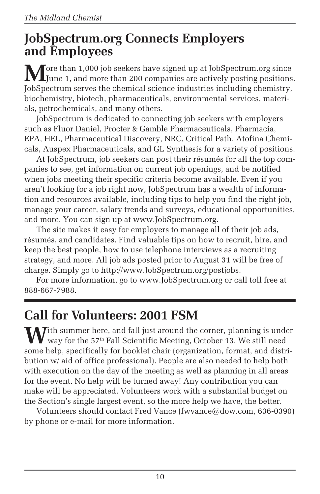### **JobSpectrum.org Connects Employers and Employees**

**M**ore than 1,000 job seekers have signed up at JobSpectrum.org since June 1, and more than 200 companies are actively posting positions. JobSpectrum serves the chemical science industries including chemistry, biochemistry, biotech, pharmaceuticals, environmental services, materials, petrochemicals, and many others.

JobSpectrum is dedicated to connecting job seekers with employers such as Fluor Daniel, Procter & Gamble Pharmaceuticals, Pharmacia, EPA, HEL, Pharmaceutical Discovery, NRC, Critical Path, Atofina Chemicals, Auspex Pharmaceuticals, and GL Synthesis for a variety of positions.

At JobSpectrum, job seekers can post their résumés for all the top companies to see, get information on current job openings, and be notified when jobs meeting their specific criteria become available. Even if you aren't looking for a job right now, JobSpectrum has a wealth of information and resources available, including tips to help you find the right job, manage your career, salary trends and surveys, educational opportunities, and more. You can sign up at www.JobSpectrum.org.

The site makes it easy for employers to manage all of their job ads, résumés, and candidates. Find valuable tips on how to recruit, hire, and keep the best people, how to use telephone interviews as a recruiting strategy, and more. All job ads posted prior to August 31 will be free of charge. Simply go to http://www.JobSpectrum.org/postjobs.

For more information, go to www.JobSpectrum.org or call toll free at 888-667-7988.

### **Call for Volunteers: 2001 FSM**

**W**ith summer here, and fall just around the corner, planning is under way for the 57<sup>th</sup> Fall Scientific Meeting, October 13. We still need some help, specifically for booklet chair (organization, format, and distribution w/ aid of office professional). People are also needed to help both with execution on the day of the meeting as well as planning in all areas for the event. No help will be turned away! Any contribution you can make will be appreciated. Volunteers work with a substantial budget on the Section's single largest event, so the more help we have, the better.

Volunteers should contact Fred Vance (fwvance@dow.com, 636-0390) by phone or e-mail for more information.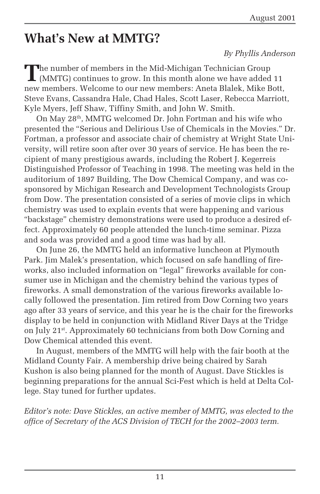### **What's New at MMTG?**

#### *By Phyllis Anderson*

The number of members in the Mid-Michigan Technician Group<br>
(MMTG) continues to grow. In this month alone we have added 11 new members. Welcome to our new members: Aneta Blalek, Mike Bott, Steve Evans, Cassandra Hale, Chad Hales, Scott Laser, Rebecca Marriott, Kyle Myers, Jeff Shaw, Tiffiny Smith, and John W. Smith.

On May 28th, MMTG welcomed Dr. John Fortman and his wife who presented the "Serious and Delirious Use of Chemicals in the Movies." Dr. Fortman, a professor and associate chair of chemistry at Wright State University, will retire soon after over 30 years of service. He has been the recipient of many prestigious awards, including the Robert J. Kegerreis Distinguished Professor of Teaching in 1998. The meeting was held in the auditorium of 1897 Building, The Dow Chemical Company, and was cosponsored by Michigan Research and Development Technologists Group from Dow. The presentation consisted of a series of movie clips in which chemistry was used to explain events that were happening and various "backstage" chemistry demonstrations were used to produce a desired effect. Approximately 60 people attended the lunch-time seminar. Pizza and soda was provided and a good time was had by all.

On June 26, the MMTG held an informative luncheon at Plymouth Park. Jim Malek's presentation, which focused on safe handling of fireworks, also included information on "legal" fireworks available for consumer use in Michigan and the chemistry behind the various types of fireworks. A small demonstration of the various fireworks available locally followed the presentation. Jim retired from Dow Corning two years ago after 33 years of service, and this year he is the chair for the fireworks display to be held in conjunction with Midland River Days at the Tridge on July 21st. Approximately 60 technicians from both Dow Corning and Dow Chemical attended this event.

In August, members of the MMTG will help with the fair booth at the Midland County Fair. A membership drive being chaired by Sarah Kushon is also being planned for the month of August. Dave Stickles is beginning preparations for the annual Sci-Fest which is held at Delta College. Stay tuned for further updates.

*Editor's note: Dave Stickles, an active member of MMTG, was elected to the office of Secretary of the ACS Division of TECH for the 2002–2003 term.*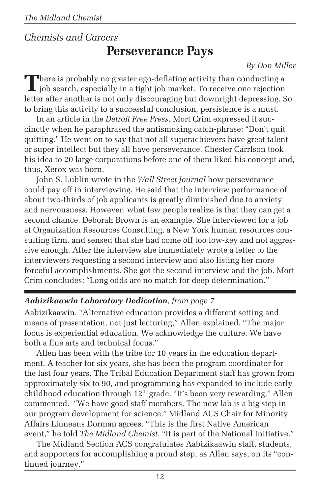### *Chemists and Careers* **Perseverance Pays**

#### *By Don Miller*

There is probably no greater ego-deflating activity than conducting a job search, especially in a tight job market. To receive one rejection letter after another is not only discouraging but downright depressing. So to bring this activity to a successful conclusion, persistence is a must.

In an article in the *Detroit Free Press*, Mort Crim expressed it succinctly when he paraphrased the antismoking catch-phrase: "Don't quit quitting." He went on to say that not all superachievers have great talent or super intellect but they all have perseverance. Chester Carrlson took his idea to 20 large corporations before one of them liked his concept and, thus, Xerox was born.

John S. Lublin wrote in the *Wall Street Journal* how perseverance could pay off in interviewing. He said that the interview performance of about two-thirds of job applicants is greatly diminished due to anxiety and nervousness. However, what few people realize is that they can get a second chance. Deborah Brown is an example. She interviewed for a job at Organization Resources Consulting, a New York human resources consulting firm, and sensed that she had come off too low-key and not aggressive enough. After the interview she immediately wrote a letter to the interviewers requesting a second interview and also listing her more forceful accomplishments. She got the second interview and the job. Mort Crim concludes: "Long odds are no match for deep determination."

### *Aabizikaawin Laboratory Dedication, from page 7*

Aabizikaawin. "Alternative education provides a different setting and means of presentation, not just lecturing," Allen explained. "The major focus is experiential education. We acknowledge the culture. We have both a fine arts and technical focus."

Allen has been with the tribe for 10 years in the education department. A teacher for six years, she has been the program coordinator for the last four years. The Tribal Education Department staff has grown from approximately six to 90, and programming has expanded to include early childhood education through 12th grade. "It's been very rewarding," Allen commented. "We have good staff members. The new lab is a big step in our program development for science." Midland ACS Chair for Minority Affairs Linneaus Dorman agrees. "This is the first Native American event," he told *The Midland Chemist.* "It is part of the National Initiative."

The Midland Section ACS congratulates Aabizikaawin staff, students, and supporters for accomplishing a proud step, as Allen says, on its "continued journey."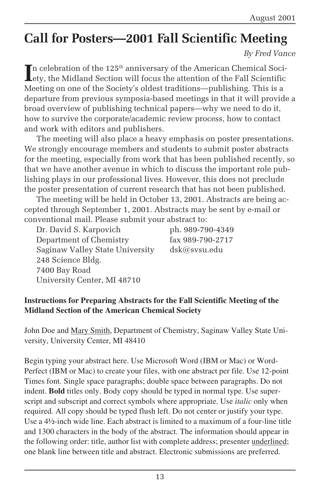# **Call for Posters—2001 Fall Scientific Meeting**

*By Fred Vance*

In celebration of the  $125^{\text{th}}$  anniversary of the American Chemical Society, the Midland Section will focus the attention of the Fall Scientific Lety, the Midland Section will focus the attention of the Fall Scientific Meeting on one of the Society's oldest traditions—publishing. This is a departure from previous symposia-based meetings in that it will provide a broad overview of publishing technical papers—why we need to do it, how to survive the corporate/academic review process, how to contact and work with editors and publishers.

The meeting will also place a heavy emphasis on poster presentations. We strongly encourage members and students to submit poster abstracts for the meeting, especially from work that has been published recently, so that we have another avenue in which to discuss the important role publishing plays in our professional lives. However, this does not preclude the poster presentation of current research that has not been published.

The meeting will be held in October 13, 2001. Abstracts are being accepted through September 1, 2001. Abstracts may be sent by e-mail or conventional mail. Please submit your abstract to:

Dr. David S. Karpovich ph. 989-790-4349 Department of Chemistry fax 989-790-2717 Saginaw Valley State University dsk@svsu.edu 248 Science Bldg. 7400 Bay Road University Center, MI 48710

#### **Instructions for Preparing Abstracts for the Fall Scientific Meeting of the Midland Section of the American Chemical Society**

John Doe and Mary Smith, Department of Chemistry, Saginaw Valley State University, University Center, MI 48410

Begin typing your abstract here. Use Microsoft Word (IBM or Mac) or Word-Perfect (IBM or Mac) to create your files, with one abstract per file. Use 12-point Times font. Single space paragraphs; double space between paragraphs. Do not indent. **Bold** titles only. Body copy should be typed in normal type. Use superscript and subscript and correct symbols where appropriate. Use *italic* only when required. All copy should be typed flush left. Do not center or justify your type. Use a 4½-inch wide line. Each abstract is limited to a maximum of a four-line title and 1300 characters in the body of the abstract. The information should appear in the following order: title, author list with complete address; presenter underlined; one blank line between title and abstract. Electronic submissions are preferred.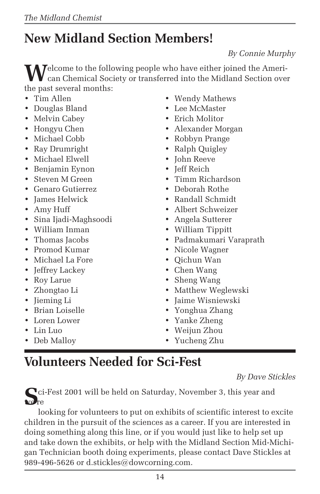# **New Midland Section Members!**

*By Connie Murphy*

**M**elcome to the following people who have either joined the American Chemical Society or transferred into the Midland Section over the past several months:

- Tim Allen
- Douglas Bland
- Melvin Cabey
- Hongyu Chen
- Michael Cobb
- Ray Drumright
- Michael Elwell
- Benjamin Eynon
- Steven M Green
- Genaro Gutierrez
- James Helwick
- Amy Huff
- Sina Ijadi-Maghsoodi
- William Inman
- Thomas Jacobs
- Promod Kumar
- Michael La Fore
- Jeffrey Lackey
- Roy Larue
- Zhongtao Li
- Jieming Li
- Brian Loiselle
- Loren Lower
- Lin Luo
- Deb Malloy
- Wendy Mathews
- Lee McMaster
- Erich Molitor
- Alexander Morgan
- Robbyn Prange
- Ralph Quigley
- John Reeve
- Jeff Reich
- Timm Richardson
- Deborah Rothe
- Randall Schmidt
- Albert Schweizer
- Angela Sutterer
- William Tippitt
- Padmakumari Varaprath
- Nicole Wagner
- Qichun Wan
- Chen Wang
- Sheng Wang
- Matthew Weglewski
- Jaime Wisniewski
- Yonghua Zhang
- Yanke Zheng
- Weijun Zhou
- Yucheng Zhu

### **Volunteers Needed for Sci-Fest**

*By Dave Stickles*

**S**ci-Fest 2001 will be held on Saturday, November 3, this year and we're

looking for volunteers to put on exhibits of scientific interest to excite children in the pursuit of the sciences as a career. If you are interested in doing something along this line, or if you would just like to help set up and take down the exhibits, or help with the Midland Section Mid-Michigan Technician booth doing experiments, please contact Dave Stickles at 989-496-5626 or d.stickles@dowcorning.com.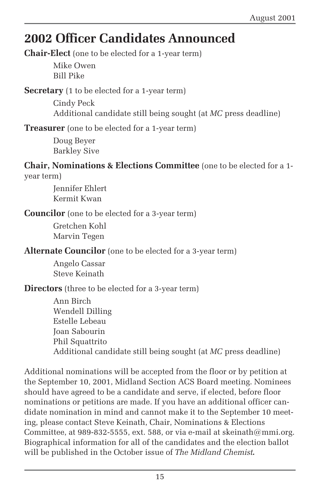# **2002 Officer Candidates Announced**

**Chair-Elect** (one to be elected for a 1-year term)

Mike Owen Bill Pike

**Secretary** (1 to be elected for a 1-year term)

Cindy Peck Additional candidate still being sought (at *MC* press deadline)

**Treasurer** (one to be elected for a 1-year term)

Doug Beyer Barkley Sive

**Chair, Nominations & Elections Committee** (one to be elected for a 1 year term)

> Jennifer Ehlert Kermit Kwan

**Councilor** (one to be elected for a 3-year term)

Gretchen Kohl Marvin Tegen

**Alternate Councilor** (one to be elected for a 3-year term)

Angelo Cassar Steve Keinath

**Directors** (three to be elected for a 3-year term)

Ann Birch Wendell Dilling Estelle Lebeau Joan Sabourin Phil Squattrito Additional candidate still being sought (at *MC* press deadline)

Additional nominations will be accepted from the floor or by petition at the September 10, 2001, Midland Section ACS Board meeting. Nominees should have agreed to be a candidate and serve, if elected, before floor nominations or petitions are made. If you have an additional officer candidate nomination in mind and cannot make it to the September 10 meeting, please contact Steve Keinath, Chair, Nominations & Elections Committee, at 989-832-5555, ext. 588, or via e-mail at skeinath@mmi.org. Biographical information for all of the candidates and the election ballot will be published in the October issue of *The Midland Chemist.*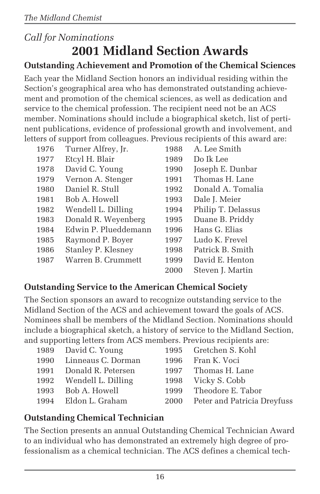### *Call for Nominations* **2001 Midland Section Awards**

### **Outstanding Achievement and Promotion of the Chemical Sciences**

Each year the Midland Section honors an individual residing within the Section's geographical area who has demonstrated outstanding achievement and promotion of the chemical sciences, as well as dedication and service to the chemical profession. The recipient need not be an ACS member. Nominations should include a biographical sketch, list of pertinent publications, evidence of professional growth and involvement, and letters of support from colleagues. Previous recipients of this award are:

| 1976 | Turner Alfrey, Jr.   | 1988 | A. Lee Smith       |
|------|----------------------|------|--------------------|
| 1977 | Etcyl H. Blair       | 1989 | Do Ik Lee          |
| 1978 | David C. Young       | 1990 | Joseph E. Dunbar   |
| 1979 | Vernon A. Stenger    | 1991 | Thomas H. Lane     |
| 1980 | Daniel R. Stull      | 1992 | Donald A. Tomalia  |
| 1981 | Bob A. Howell        | 1993 | Dale J. Meier      |
| 1982 | Wendell L. Dilling   | 1994 | Philip T. Delassus |
| 1983 | Donald R. Weyenberg  | 1995 | Duane B. Priddy    |
| 1984 | Edwin P. Plueddemann | 1996 | Hans G. Elias      |
| 1985 | Raymond P. Boyer     | 1997 | Ludo K. Frevel     |
| 1986 | Stanley P. Klesney   | 1998 | Patrick B. Smith   |
| 1987 | Warren B. Crummett   | 1999 | David E. Henton    |
|      |                      | 2000 | Steven J. Martin   |

### **Outstanding Service to the American Chemical Society**

The Section sponsors an award to recognize outstanding service to the Midland Section of the ACS and achievement toward the goals of ACS. Nominees shall be members of the Midland Section. Nominations should include a biographical sketch, a history of service to the Midland Section, and supporting letters from ACS members. Previous recipients are:

| 1989 David C. Young     | 1995 Gretchen S. Kohl            |
|-------------------------|----------------------------------|
| 1990 Linneaus C. Dorman | 1996 Fran K. Voci                |
| 1991 Donald R. Petersen | 1997 Thomas H. Lane              |
| 1992 Wendell L. Dilling | 1998 Vicky S. Cobb               |
| 1993 Bob A. Howell      | 1999 Theodore E. Tabor           |
| 1994 Eldon L. Graham    | 2000 Peter and Patricia Dreyfuss |
|                         |                                  |

### **Outstanding Chemical Technician**

The Section presents an annual Outstanding Chemical Technician Award to an individual who has demonstrated an extremely high degree of professionalism as a chemical technician. The ACS defines a chemical tech-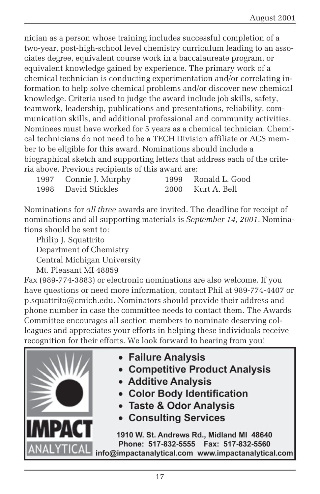nician as a person whose training includes successful completion of a two-year, post-high-school level chemistry curriculum leading to an associates degree, equivalent course work in a baccalaureate program, or equivalent knowledge gained by experience. The primary work of a chemical technician is conducting experimentation and/or correlating information to help solve chemical problems and/or discover new chemical knowledge. Criteria used to judge the award include job skills, safety, teamwork, leadership, publications and presentations, reliability, communication skills, and additional professional and community activities. Nominees must have worked for 5 years as a chemical technician. Chemical technicians do not need to be a TECH Division affiliate or ACS member to be eligible for this award. Nominations should include a biographical sketch and supporting letters that address each of the criteria above. Previous recipients of this award are:

| 1997 Connie J. Murphy | 1999 Ronald L. Good |
|-----------------------|---------------------|
| 1998 David Stickles   | 2000 Kurt A. Bell   |

Nominations for *all three* awards are invited. The deadline for receipt of nominations and all supporting materials is *September 14, 2001*. Nominations should be sent to:

Philip J. Squattrito Department of Chemistry Central Michigan University Mt. Pleasant MI 48859

Fax (989-774-3883) or electronic nominations are also welcome. If you have questions or need more information, contact Phil at 989-774-4407 or p.squattrito@cmich.edu. Nominators should provide their address and phone number in case the committee needs to contact them. The Awards Committee encourages all section members to nominate deserving colleagues and appreciates your efforts in helping these individuals receive recognition for their efforts. We look forward to hearing from you!



- Failure Analysis
- Competitive Product Analysis
- Additive Analysis
- Color Body Identification
- Taste & Odor Analysis
- **Consulting Services**

1910 W. St. Andrews Rd., Midland MI 48640 Phone: 517-832-5555 Fax: 517-832-5560 info@impactanalytical.com www.impactanalytical.com